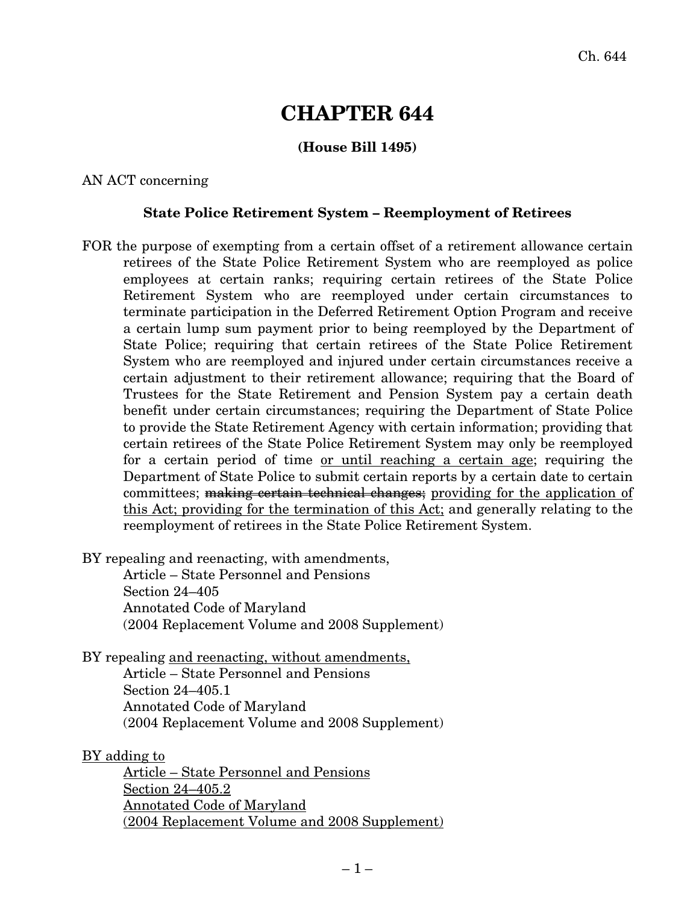# **CHAPTER 644**

## **(House Bill 1495)**

AN ACT concerning

#### **State Police Retirement System – Reemployment of Retirees**

FOR the purpose of exempting from a certain offset of a retirement allowance certain retirees of the State Police Retirement System who are reemployed as police employees at certain ranks; requiring certain retirees of the State Police Retirement System who are reemployed under certain circumstances to terminate participation in the Deferred Retirement Option Program and receive a certain lump sum payment prior to being reemployed by the Department of State Police; requiring that certain retirees of the State Police Retirement System who are reemployed and injured under certain circumstances receive a certain adjustment to their retirement allowance; requiring that the Board of Trustees for the State Retirement and Pension System pay a certain death benefit under certain circumstances; requiring the Department of State Police to provide the State Retirement Agency with certain information; providing that certain retirees of the State Police Retirement System may only be reemployed for a certain period of time or until reaching a certain age; requiring the Department of State Police to submit certain reports by a certain date to certain committees; making certain technical changes; providing for the application of this Act; providing for the termination of this Act; and generally relating to the reemployment of retirees in the State Police Retirement System.

BY repealing and reenacting, with amendments,

Article – State Personnel and Pensions Section 24–405 Annotated Code of Maryland (2004 Replacement Volume and 2008 Supplement)

BY repealing and reenacting, without amendments,

Article – State Personnel and Pensions Section 24–405.1 Annotated Code of Maryland (2004 Replacement Volume and 2008 Supplement)

BY adding to

Article – State Personnel and Pensions Section 24–405.2 Annotated Code of Maryland (2004 Replacement Volume and 2008 Supplement)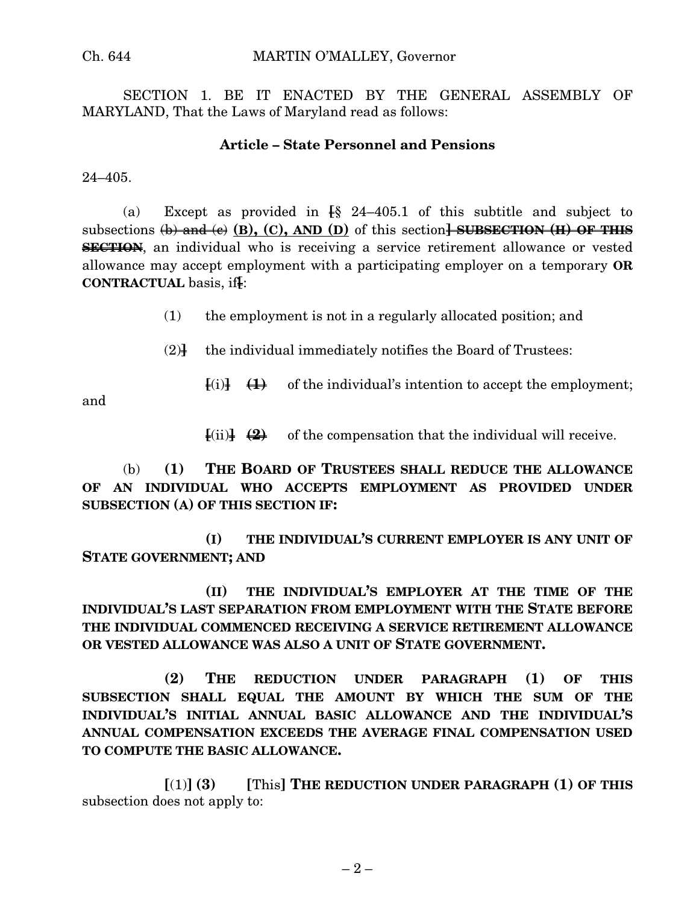SECTION 1. BE IT ENACTED BY THE GENERAL ASSEMBLY OF MARYLAND, That the Laws of Maryland read as follows:

### **Article – State Personnel and Pensions**

 $24 - 405$ .

(a) Except as provided in **[**§ 24–405.1 of this subtitle and subject to subsections (b) and (c) **(B), (C), AND (D)** of this section**] SUBSECTION (H) OF THIS SECTION**, an individual who is receiving a service retirement allowance or vested allowance may accept employment with a participating employer on a temporary **OR CONTRACTUAL** basis, if**[**:

(1) the employment is not in a regularly allocated position; and

(2)**]** the individual immediately notifies the Board of Trustees:

 $\overline{f}(i)$   $\overline{f}(i)$  of the individual's intention to accept the employment;

and

 $\overline{\text{[i]}}$   $\overline{\text{[4]}}$  of the compensation that the individual will receive.

(b) **(1) THE BOARD OF TRUSTEES SHALL REDUCE THE ALLOWANCE OF AN INDIVIDUAL WHO ACCEPTS EMPLOYMENT AS PROVIDED UNDER SUBSECTION (A) OF THIS SECTION IF:**

**(I) THE INDIVIDUAL'S CURRENT EMPLOYER IS ANY UNIT OF STATE GOVERNMENT; AND**

**(II) THE INDIVIDUAL'S EMPLOYER AT THE TIME OF THE INDIVIDUAL'S LAST SEPARATION FROM EMPLOYMENT WITH THE STATE BEFORE THE INDIVIDUAL COMMENCED RECEIVING A SERVICE RETIREMENT ALLOWANCE OR VESTED ALLOWANCE WAS ALSO A UNIT OF STATE GOVERNMENT.**

**(2) THE REDUCTION UNDER PARAGRAPH (1) OF THIS SUBSECTION SHALL EQUAL THE AMOUNT BY WHICH THE SUM OF THE INDIVIDUAL'S INITIAL ANNUAL BASIC ALLOWANCE AND THE INDIVIDUAL'S ANNUAL COMPENSATION EXCEEDS THE AVERAGE FINAL COMPENSATION USED TO COMPUTE THE BASIC ALLOWANCE.**

**[**(1)**] (3) [**This**] THE REDUCTION UNDER PARAGRAPH (1) OF THIS** subsection does not apply to: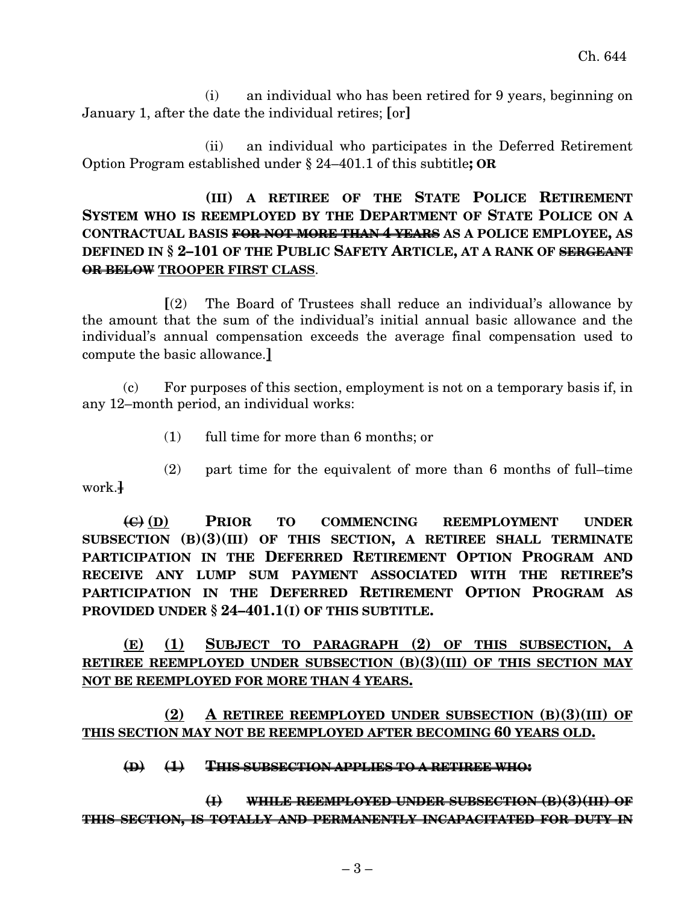(i) an individual who has been retired for 9 years, beginning on January 1, after the date the individual retires; **[**or**]**

(ii) an individual who participates in the Deferred Retirement Option Program established under § 24–401.1 of this subtitle**; OR**

## **(III) A RETIREE OF THE STATE POLICE RETIREMENT SYSTEM WHO IS REEMPLOYED BY THE DEPARTMENT OF STATE POLICE ON A CONTRACTUAL BASIS FOR NOT MORE THAN 4 YEARS AS A POLICE EMPLOYEE, AS DEFINED IN § 2–101 OF THE PUBLIC SAFETY ARTICLE, AT A RANK OF SERGEANT OR BELOW TROOPER FIRST CLASS**.

**[**(2) The Board of Trustees shall reduce an individual's allowance by the amount that the sum of the individual's initial annual basic allowance and the individual's annual compensation exceeds the average final compensation used to compute the basic allowance.**]**

(c) For purposes of this section, employment is not on a temporary basis if, in any 12–month period, an individual works:

(1) full time for more than 6 months; or

(2) part time for the equivalent of more than 6 months of full–time work.**]**

**(C) (D) PRIOR TO COMMENCING REEMPLOYMENT UNDER SUBSECTION (B)(3)(III) OF THIS SECTION, A RETIREE SHALL TERMINATE PARTICIPATION IN THE DEFERRED RETIREMENT OPTION PROGRAM AND RECEIVE ANY LUMP SUM PAYMENT ASSOCIATED WITH THE RETIREE'S PARTICIPATION IN THE DEFERRED RETIREMENT OPTION PROGRAM AS PROVIDED UNDER § 24–401.1(I) OF THIS SUBTITLE.**

**(E) (1) SUBJECT TO PARAGRAPH (2) OF THIS SUBSECTION, A RETIREE REEMPLOYED UNDER SUBSECTION (B)(3)(III) OF THIS SECTION MAY NOT BE REEMPLOYED FOR MORE THAN 4 YEARS.**

**(2) A RETIREE REEMPLOYED UNDER SUBSECTION (B)(3)(III) OF THIS SECTION MAY NOT BE REEMPLOYED AFTER BECOMING 60 YEARS OLD.**

**(D) (1) THIS SUBSECTION APPLIES TO A RETIREE WHO:**

**(I) WHILE REEMPLOYED UNDER SUBSECTION (B)(3)(III) OF THIS SECTION, IS TOTALLY AND PERMANENTLY INCAPACITATED FOR DUTY IN**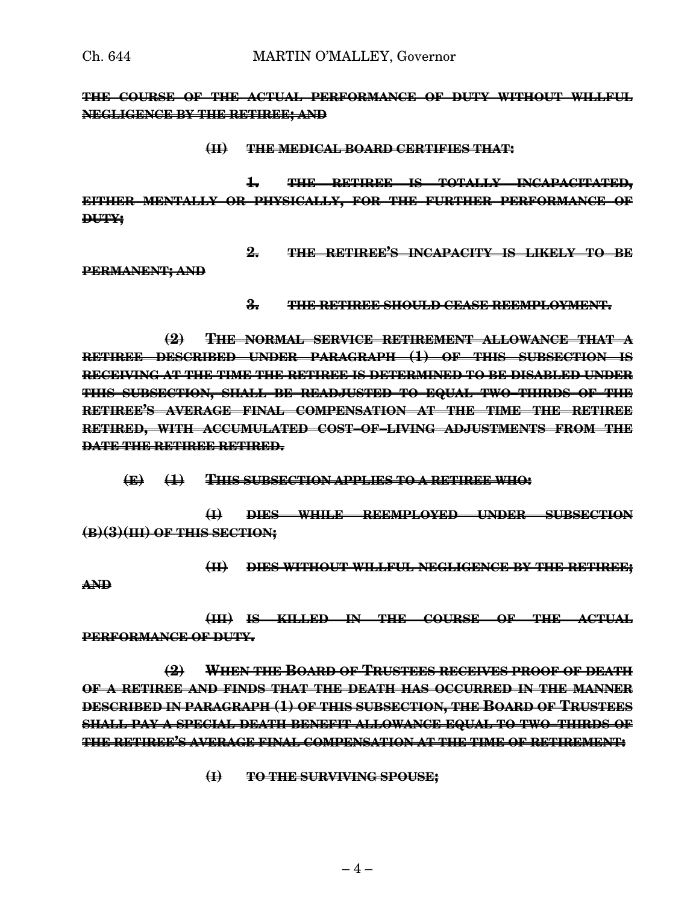**THE COURSE OF THE ACTUAL PERFORMANCE OF DUTY WITHOUT WILLFUL NEGLIGENCE BY THE RETIREE; AND**

#### **(II) THE MEDICAL BOARD CERTIFIES THAT:**

**1. THE RETIREE IS TOTALLY INCAPACITATED, EITHER MENTALLY OR PHYSICALLY, FOR THE FURTHER PERFORMANCE OF DUTY;**

**2. THE RETIREE'S INCAPACITY IS LIKELY TO BE**

**PERMANENT; AND**

**3. THE RETIREE SHOULD CEASE REEMPLOYMENT.**

**(2) THE NORMAL SERVICE RETIREMENT ALLOWANCE THAT A RETIREE DESCRIBED UNDER PARAGRAPH (1) OF THIS SUBSECTION IS RECEIVING AT THE TIME THE RETIREE IS DETERMINED TO BE DISABLED UNDER THIS SUBSECTION, SHALL BE READJUSTED TO EQUAL TWO–THIRDS OF THE RETIREE'S AVERAGE FINAL COMPENSATION AT THE TIME THE RETIREE RETIRED, WITH ACCUMULATED COST–OF–LIVING ADJUSTMENTS FROM THE DATE THE RETIREE RETIRED.**

**(E) (1) THIS SUBSECTION APPLIES TO A RETIREE WHO:**

**(I) DIES WHILE REEMPLOYED UNDER SUBSECTION (B)(3)(III) OF THIS SECTION;**

**(II) DIES WITHOUT WILLFUL NEGLIGENCE BY THE RETIREE; AND**

**(III) IS KILLED IN THE COURSE OF THE ACTUAL PERFORMANCE OF DUTY.**

**(2) WHEN THE BOARD OF TRUSTEES RECEIVES PROOF OF DEATH OF A RETIREE AND FINDS THAT THE DEATH HAS OCCURRED IN THE MANNER DESCRIBED IN PARAGRAPH (1) OF THIS SUBSECTION, THE BOARD OF TRUSTEES SHALL PAY A SPECIAL DEATH BENEFIT ALLOWANCE EQUAL TO TWO–THIRDS OF THE RETIREE'S AVERAGE FINAL COMPENSATION AT THE TIME OF RETIREMENT:**

**(I) TO THE SURVIVING SPOUSE;**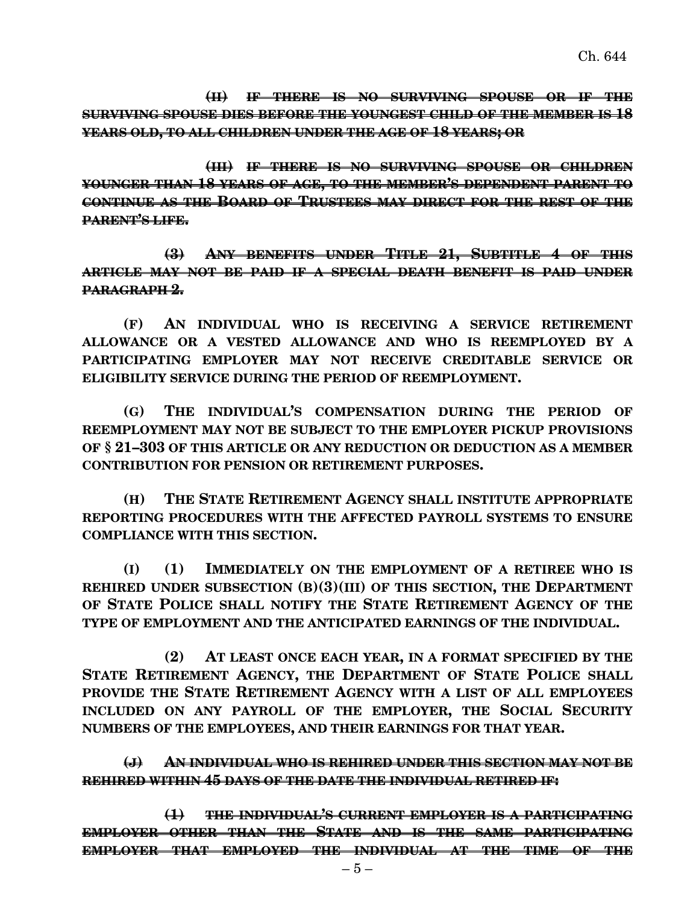**(II) IF THERE IS NO SURVIVING SPOUSE OR IF THE SURVIVING SPOUSE DIES BEFORE THE YOUNGEST CHILD OF THE MEMBER IS 18 YEARS OLD, TO ALL CHILDREN UNDER THE AGE OF 18 YEARS; OR**

**(III) IF THERE IS NO SURVIVING SPOUSE OR CHILDREN YOUNGER THAN 18 YEARS OF AGE, TO THE MEMBER'S DEPENDENT PARENT TO CONTINUE AS THE BOARD OF TRUSTEES MAY DIRECT FOR THE REST OF THE PARENT'S LIFE.**

**(3) ANY BENEFITS UNDER TITLE 21, SUBTITLE 4 OF THIS ARTICLE MAY NOT BE PAID IF A SPECIAL DEATH BENEFIT IS PAID UNDER PARAGRAPH 2.**

**(F) AN INDIVIDUAL WHO IS RECEIVING A SERVICE RETIREMENT ALLOWANCE OR A VESTED ALLOWANCE AND WHO IS REEMPLOYED BY A PARTICIPATING EMPLOYER MAY NOT RECEIVE CREDITABLE SERVICE OR ELIGIBILITY SERVICE DURING THE PERIOD OF REEMPLOYMENT.**

**(G) THE INDIVIDUAL'S COMPENSATION DURING THE PERIOD OF REEMPLOYMENT MAY NOT BE SUBJECT TO THE EMPLOYER PICKUP PROVISIONS OF § 21–303 OF THIS ARTICLE OR ANY REDUCTION OR DEDUCTION AS A MEMBER CONTRIBUTION FOR PENSION OR RETIREMENT PURPOSES.**

**(H) THE STATE RETIREMENT AGENCY SHALL INSTITUTE APPROPRIATE REPORTING PROCEDURES WITH THE AFFECTED PAYROLL SYSTEMS TO ENSURE COMPLIANCE WITH THIS SECTION.**

**(I) (1) IMMEDIATELY ON THE EMPLOYMENT OF A RETIREE WHO IS REHIRED UNDER SUBSECTION (B)(3)(III) OF THIS SECTION, THE DEPARTMENT OF STATE POLICE SHALL NOTIFY THE STATE RETIREMENT AGENCY OF THE TYPE OF EMPLOYMENT AND THE ANTICIPATED EARNINGS OF THE INDIVIDUAL.**

**(2) AT LEAST ONCE EACH YEAR, IN A FORMAT SPECIFIED BY THE STATE RETIREMENT AGENCY, THE DEPARTMENT OF STATE POLICE SHALL PROVIDE THE STATE RETIREMENT AGENCY WITH A LIST OF ALL EMPLOYEES INCLUDED ON ANY PAYROLL OF THE EMPLOYER, THE SOCIAL SECURITY NUMBERS OF THE EMPLOYEES, AND THEIR EARNINGS FOR THAT YEAR.**

**(J) AN INDIVIDUAL WHO IS REHIRED UNDER THIS SECTION MAY NOT BE REHIRED WITHIN 45 DAYS OF THE DATE THE INDIVIDUAL RETIRED IF:**

**(1) THE INDIVIDUAL'S CURRENT EMPLOYER IS A PARTICIPATING EMPLOYER OTHER THAN THE STATE AND IS THE SAME PARTICIPATING EMPLOYER THAT EMPLOYED THE INDIVIDUAL AT THE TIME OF THE**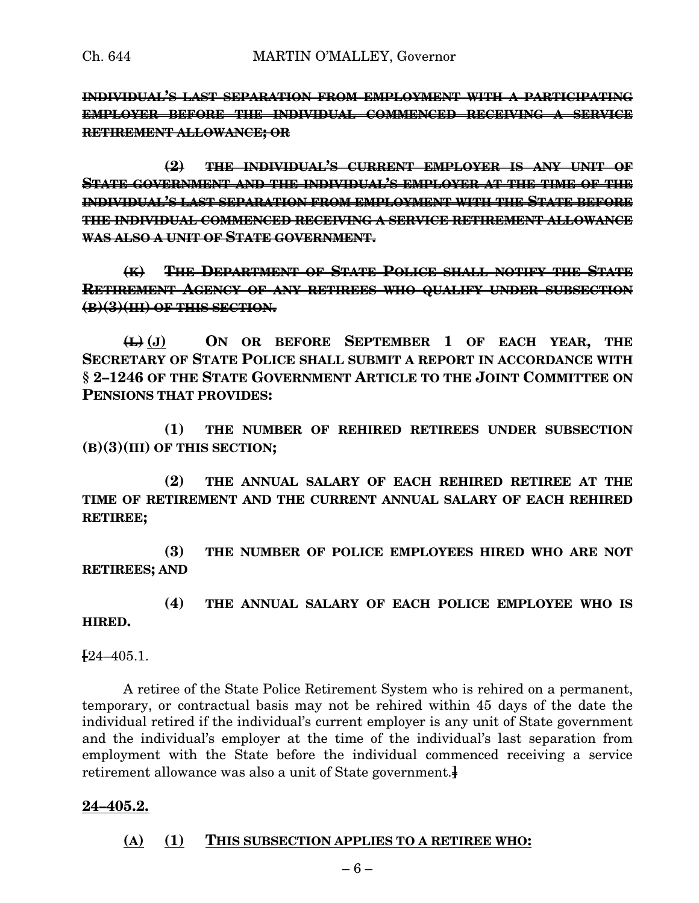**INDIVIDUAL'S LAST SEPARATION FROM EMPLOYMENT WITH A PARTICIPATING EMPLOYER BEFORE THE INDIVIDUAL COMMENCED RECEIVING A SERVICE RETIREMENT ALLOWANCE; OR**

**(2) THE INDIVIDUAL'S CURRENT EMPLOYER IS ANY UNIT OF STATE GOVERNMENT AND THE INDIVIDUAL'S EMPLOYER AT THE TIME OF THE INDIVIDUAL'S LAST SEPARATION FROM EMPLOYMENT WITH THE STATE BEFORE THE INDIVIDUAL COMMENCED RECEIVING A SERVICE RETIREMENT ALLOWANCE WAS ALSO A UNIT OF STATE GOVERNMENT.**

**(K) THE DEPARTMENT OF STATE POLICE SHALL NOTIFY THE STATE RETIREMENT AGENCY OF ANY RETIREES WHO QUALIFY UNDER SUBSECTION (B)(3)(III) OF THIS SECTION.**

**(L) (J) ON OR BEFORE SEPTEMBER 1 OF EACH YEAR, THE SECRETARY OF STATE POLICE SHALL SUBMIT A REPORT IN ACCORDANCE WITH § 2–1246 OF THE STATE GOVERNMENT ARTICLE TO THE JOINT COMMITTEE ON PENSIONS THAT PROVIDES:**

**(1) THE NUMBER OF REHIRED RETIREES UNDER SUBSECTION (B)(3)(III) OF THIS SECTION;**

**(2) THE ANNUAL SALARY OF EACH REHIRED RETIREE AT THE TIME OF RETIREMENT AND THE CURRENT ANNUAL SALARY OF EACH REHIRED RETIREE;**

**(3) THE NUMBER OF POLICE EMPLOYEES HIRED WHO ARE NOT RETIREES; AND**

**(4) THE ANNUAL SALARY OF EACH POLICE EMPLOYEE WHO IS HIRED.**

**[**24–405.1.

A retiree of the State Police Retirement System who is rehired on a permanent, temporary, or contractual basis may not be rehired within 45 days of the date the individual retired if the individual's current employer is any unit of State government and the individual's employer at the time of the individual's last separation from employment with the State before the individual commenced receiving a service retirement allowance was also a unit of State government.**]**

#### **24–405.2.**

#### **(A) (1) THIS SUBSECTION APPLIES TO A RETIREE WHO:**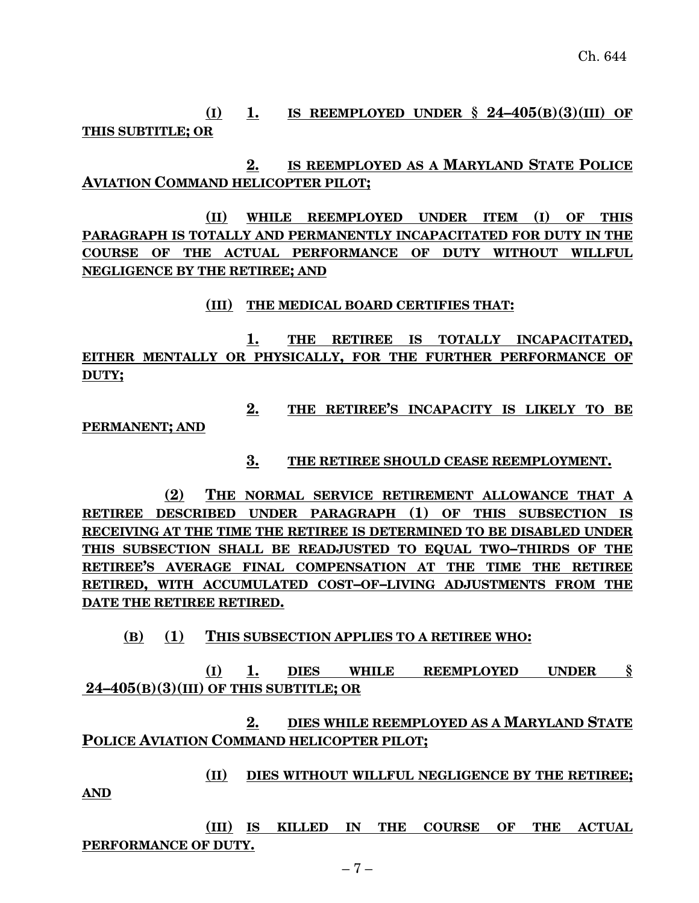**(I) 1. IS REEMPLOYED UNDER § 24–405(B)(3)(III) OF THIS SUBTITLE; OR**

**2. IS REEMPLOYED AS A MARYLAND STATE POLICE AVIATION COMMAND HELICOPTER PILOT;**

**(II) WHILE REEMPLOYED UNDER ITEM (I) OF THIS PARAGRAPH IS TOTALLY AND PERMANENTLY INCAPACITATED FOR DUTY IN THE COURSE OF THE ACTUAL PERFORMANCE OF DUTY WITHOUT WILLFUL NEGLIGENCE BY THE RETIREE; AND**

#### **(III) THE MEDICAL BOARD CERTIFIES THAT:**

**1. THE RETIREE IS TOTALLY INCAPACITATED, EITHER MENTALLY OR PHYSICALLY, FOR THE FURTHER PERFORMANCE OF DUTY;**

**2. THE RETIREE'S INCAPACITY IS LIKELY TO BE**

**PERMANENT; AND**

#### **3. THE RETIREE SHOULD CEASE REEMPLOYMENT.**

**(2) THE NORMAL SERVICE RETIREMENT ALLOWANCE THAT A RETIREE DESCRIBED UNDER PARAGRAPH (1) OF THIS SUBSECTION IS RECEIVING AT THE TIME THE RETIREE IS DETERMINED TO BE DISABLED UNDER THIS SUBSECTION SHALL BE READJUSTED TO EQUAL TWO–THIRDS OF THE RETIREE'S AVERAGE FINAL COMPENSATION AT THE TIME THE RETIREE RETIRED, WITH ACCUMULATED COST–OF–LIVING ADJUSTMENTS FROM THE DATE THE RETIREE RETIRED.**

**(B) (1) THIS SUBSECTION APPLIES TO A RETIREE WHO:**

**(I) 1. DIES WHILE REEMPLOYED UNDER § 24–405(B)(3)(III) OF THIS SUBTITLE; OR**

**2. DIES WHILE REEMPLOYED AS A MARYLAND STATE POLICE AVIATION COMMAND HELICOPTER PILOT;**

**(II) DIES WITHOUT WILLFUL NEGLIGENCE BY THE RETIREE; AND**

**(III) IS KILLED IN THE COURSE OF THE ACTUAL PERFORMANCE OF DUTY.**